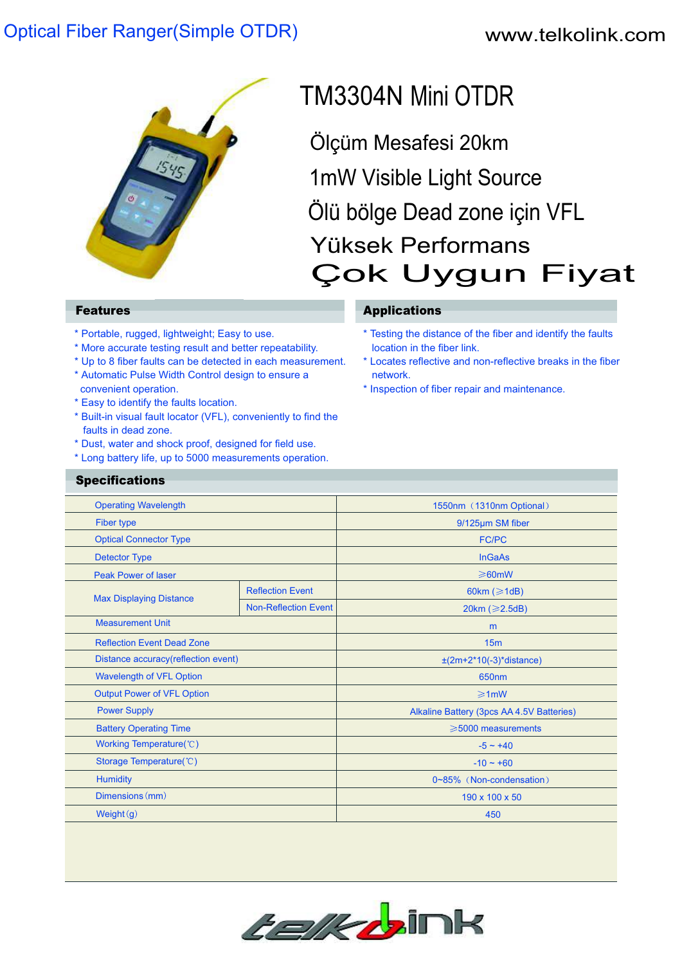## Optical Fiber Ranger(Simple OTDR)

## www.telkolink.com



# TM3304N Mini OTDR

Ölçüm Mesafesi 20km Ölü bölge Dead zone için VFL 1mW Visible Light Source Yüksek Performans Çok Uygun Fiyat

**Specifications** 

- \* Portable, rugged, lightweight; Easy to use.
- \* More accurate testing result and better repeatability.
- \* Up to 8 fiber faults can be detected in each measurement. \* Automatic Pulse Width Control design to ensure a
- convenient operation.
- \* Easy to identify the faults location.
- \* Built-in visual fault locator (VFL), conveniently to find the faults in dead zone.
- \* Dust, water and shock proof, designed for field use.
- \* Long battery life, up to 5000 measurements operation.

### **Features Applications**

- \* Testing the distance of the fiber and identify the faults location in the fiber link.
- \* Locates reflective and non-reflective breaks in the fiber network.
- \* Inspection of fiber repair and maintenance.

| <b>Operating Wavelength</b>          |                             | 1550nm (1310nm Optional)                  |
|--------------------------------------|-----------------------------|-------------------------------------------|
| Fiber type                           |                             | 9/125µm SM fiber                          |
| <b>Optical Connector Type</b>        |                             | <b>FC/PC</b>                              |
| <b>Detector Type</b>                 |                             | <b>InGaAs</b>                             |
| <b>Peak Power of laser</b>           |                             | $\geq 60$ mW                              |
| <b>Max Displaying Distance</b>       | <b>Reflection Event</b>     | 60km ( $\geq 1$ dB)                       |
|                                      | <b>Non-Reflection Event</b> | 20km ( $\geq$ 2.5dB)                      |
| <b>Measurement Unit</b>              |                             | m                                         |
| <b>Reflection Event Dead Zone</b>    |                             | 15 <sub>m</sub>                           |
| Distance accuracy (reflection event) |                             | $\pm (2m+2*10(-3)*distance)$              |
| <b>Wavelength of VFL Option</b>      |                             | 650nm                                     |
| <b>Output Power of VFL Option</b>    |                             | $\geq 1$ mW                               |
| <b>Power Supply</b>                  |                             | Alkaline Battery (3pcs AA 4.5V Batteries) |
| <b>Battery Operating Time</b>        |                             | $\geqslant$ 5000 measurements             |
| Working Temperature(°C)              |                             | $-5 - +40$                                |
| Storage Temperature(°C)              |                             | $-10 - +60$                               |
| <b>Humidity</b>                      |                             | 0~85% (Non-condensation)                  |
| Dimensions (mm)                      |                             | 190 x 100 x 50                            |
| Weight $(g)$                         |                             | 450                                       |